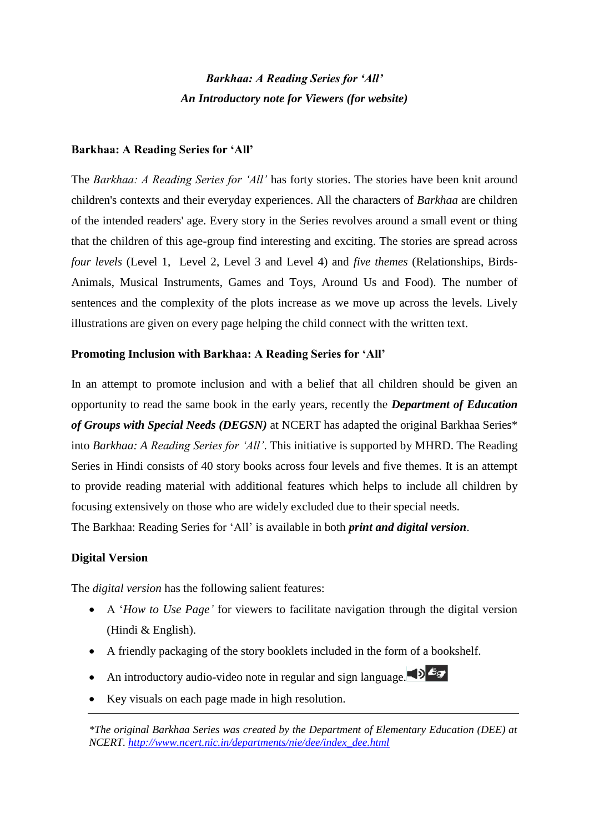# *Barkhaa: A Reading Series for 'All' An Introductory note for Viewers (for website)*

## **Barkhaa: A Reading Series for 'All'**

The *Barkhaa: A Reading Series for 'All'* has forty stories. The stories have been knit around children's contexts and their everyday experiences. All the characters of *Barkhaa* are children of the intended readers' age. Every story in the Series revolves around a small event or thing that the children of this age-group find interesting and exciting. The stories are spread across *four levels* (Level 1, Level 2, Level 3 and Level 4) and *five themes* (Relationships, Birds-Animals, Musical Instruments, Games and Toys, Around Us and Food). The number of sentences and the complexity of the plots increase as we move up across the levels. Lively illustrations are given on every page helping the child connect with the written text.

### **Promoting Inclusion with Barkhaa: A Reading Series for 'All'**

In an attempt to promote inclusion and with a belief that all children should be given an opportunity to read the same book in the early years, recently the *Department of Education of Groups with Special Needs (DEGSN)* at NCERT has adapted the original Barkhaa Series\* into *Barkhaa: A Reading Series for 'All'*. This initiative is supported by MHRD. The Reading Series in Hindi consists of 40 story books across four levels and five themes. It is an attempt to provide reading material with additional features which helps to include all children by focusing extensively on those who are widely excluded due to their special needs. The Barkhaa: Reading Series for 'All' is available in both *print and digital version*.

## **Digital Version**

The *digital version* has the following salient features:

- A '*How to Use Page'* for viewers to facilitate navigation through the digital version (Hindi & English).
- A friendly packaging of the story booklets included in the form of a bookshelf.
- An introductory audio-video note in regular and sign language.
- Key visuals on each page made in high resolution.

*\*The original Barkhaa Series was created by the Department of Elementary Education (DEE) at NCERT. [http://www.ncert.nic.in/departments/nie/dee/index\\_dee.html](http://www.ncert.nic.in/departments/nie/dee/index_dee.html)*